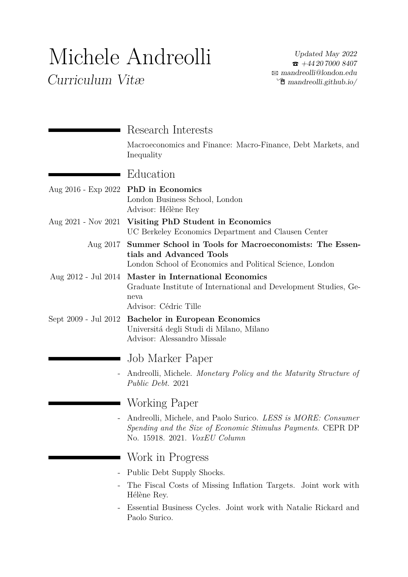# Michele Andreolli

Curriculum Vitæ

|                      | Research Interests<br>Macroeconomics and Finance: Macro-Finance, Debt Markets, and                                                                                   |
|----------------------|----------------------------------------------------------------------------------------------------------------------------------------------------------------------|
|                      | Inequality                                                                                                                                                           |
|                      | Education                                                                                                                                                            |
| Aug 2016 - Exp 2022  | <b>PhD</b> in Economics<br>London Business School, London<br>Advisor: Hélène Rey                                                                                     |
| Aug 2021 - Nov 2021  | Visiting PhD Student in Economics<br>UC Berkeley Economics Department and Clausen Center                                                                             |
|                      | Aug 2017 Summer School in Tools for Macroeconomists: The Essen-<br>tials and Advanced Tools<br>London School of Economics and Political Science, London              |
|                      | Aug 2012 - Jul 2014 Master in International Economics<br>Graduate Institute of International and Development Studies, Ge-<br>neva<br>Advisor: Cédric Tille           |
| Sept 2009 - Jul 2012 | <b>Bachelor in European Economics</b><br>Universitá degli Studi di Milano, Milano<br>Advisor: Alessandro Missale                                                     |
|                      | Job Marker Paper                                                                                                                                                     |
|                      | Andreolli, Michele. Monetary Policy and the Maturity Structure of<br>Public Debt. 2021                                                                               |
|                      | Working Paper                                                                                                                                                        |
|                      | Andreolli, Michele, and Paolo Surico. LESS is MORE: Consumer<br>Spending and the Size of Economic Stimulus Payments. CEPR DP<br>No. 15918. 2021. <i>VoxEU Column</i> |
|                      | Work in Progress                                                                                                                                                     |
|                      | Public Debt Supply Shocks.                                                                                                                                           |
|                      | The Fiscal Costs of Missing Inflation Targets. Joint work with<br>Hélène Rey.                                                                                        |
|                      | Essential Business Cycles. Joint work with Natalie Rickard and<br>Paolo Surico.                                                                                      |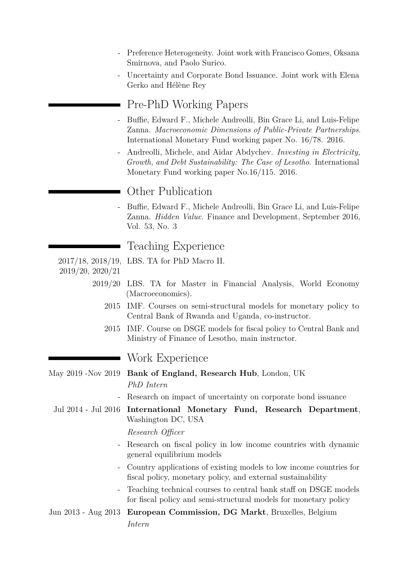- Preference Heterogeneity. Joint work with Francisco Gomes, Oksana Smirnova, and Paolo Surico.
- Uncertainty and Corporate Bond Issuance. Joint work with Elena Gerko and Hélène Rey

# Pre-PhD Working Papers

- Buffie, Edward F., Michele Andreolli, Bin Grace Li, and Luis-Felipe Zanna. *Macroeconomic Dimensions of Public-Private Partnerships*. International Monetary Fund working paper No. 16/78. 2016.
- Andreolli, Michele, and Aidar Abdychev. *Investing in Electricity, Growth, and Debt Sustainability: The Case of Lesotho*. International Monetary Fund working paper No.16/115. 2016.

## Other Publication

- Buffie, Edward F., Michele Andreolli, Bin Grace Li, and Luis-Felipe Zanna. *Hidden Value*[. Finance and Development, September 2016,](http://www.imf.org/external/pubs/ft/fandd/2016/09/pdf/buffie.pdf) [Vol. 53, No. 3](http://www.imf.org/external/pubs/ft/fandd/2016/09/pdf/buffie.pdf)

# Teaching Experience

- 2017/18, 2018/19, LBS. TA for PhD Macro II.
- 2019/20, 2020/21
	- 2019/20 LBS. TA for Master in Financial Analysis, World Economy (Macroeconomics).
		- 2015 IMF. Courses on semi-structural models for monetary policy to Central Bank of Rwanda and Uganda, co-instructor.
		- 2015 IMF. Course on DSGE models for fiscal policy to Central Bank and Ministry of Finance of Lesotho, main instructor.

# Work Experience

May 2019 -Nov 2019 **Bank of England, Research Hub**, London, UK *PhD Intern*

- Research on impact of uncertainty on corporate bond issuance

Jul 2014 - Jul 2016 **International Monetary Fund, Research Department**, Washington DC, USA

#### *Research Officer*

- Research on fiscal policy in low income countries with dynamic general equilibrium models
- Country applications of existing models to low income countries for fiscal policy, monetary policy, and external sustainability
- Teaching technical courses to central bank staff on DSGE models for fiscal policy and semi-structural models for monetary policy
- Jun 2013 Aug 2013 **European Commission, DG Markt**, Bruxelles, Belgium *Intern*